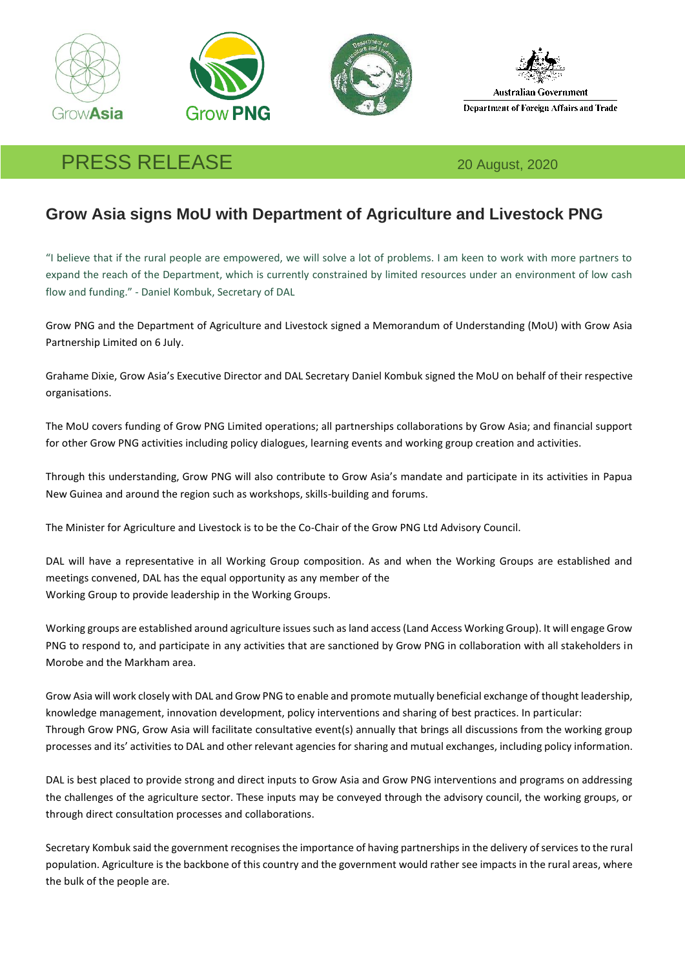







## PRESS RELEASE 20 August, 2020

## **Grow Asia signs MoU with Department of Agriculture and Livestock PNG**

"I believe that if the rural people are empowered, we will solve a lot of problems. I am keen to work with more partners to expand the reach of the Department, which is currently constrained by limited resources under an environment of low cash flow and funding." - Daniel Kombuk, Secretary of DAL

Grow PNG and the Department of Agriculture and Livestock signed a Memorandum of Understanding (MoU) with Grow Asia Partnership Limited on 6 July.

Grahame Dixie, Grow Asia's Executive Director and DAL Secretary Daniel Kombuk signed the MoU on behalf of their respective organisations.

The MoU covers funding of Grow PNG Limited operations; all partnerships collaborations by Grow Asia; and financial support for other Grow PNG activities including policy dialogues, learning events and working group creation and activities.

Through this understanding, Grow PNG will also contribute to Grow Asia's mandate and participate in its activities in Papua New Guinea and around the region such as workshops, skills-building and forums.

The Minister for Agriculture and Livestock is to be the Co-Chair of the Grow PNG Ltd Advisory Council.

DAL will have a representative in all Working Group composition. As and when the Working Groups are established and meetings convened, DAL has the equal opportunity as any member of the Working Group to provide leadership in the Working Groups.

Working groups are established around agriculture issues such as land access (Land Access Working Group). It will engage Grow PNG to respond to, and participate in any activities that are sanctioned by Grow PNG in collaboration with all stakeholders in Morobe and the Markham area.

Grow Asia will work closely with DAL and Grow PNG to enable and promote mutually beneficial exchange of thought leadership, knowledge management, innovation development, policy interventions and sharing of best practices. In particular: Through Grow PNG, Grow Asia will facilitate consultative event(s) annually that brings all discussions from the working group processes and its' activities to DAL and other relevant agencies for sharing and mutual exchanges, including policy information.

DAL is best placed to provide strong and direct inputs to Grow Asia and Grow PNG interventions and programs on addressing the challenges of the agriculture sector. These inputs may be conveyed through the advisory council, the working groups, or through direct consultation processes and collaborations.

Secretary Kombuk said the government recognises the importance of having partnerships in the delivery of services to the rural population. Agriculture is the backbone of this country and the government would rather see impacts in the rural areas, where the bulk of the people are.